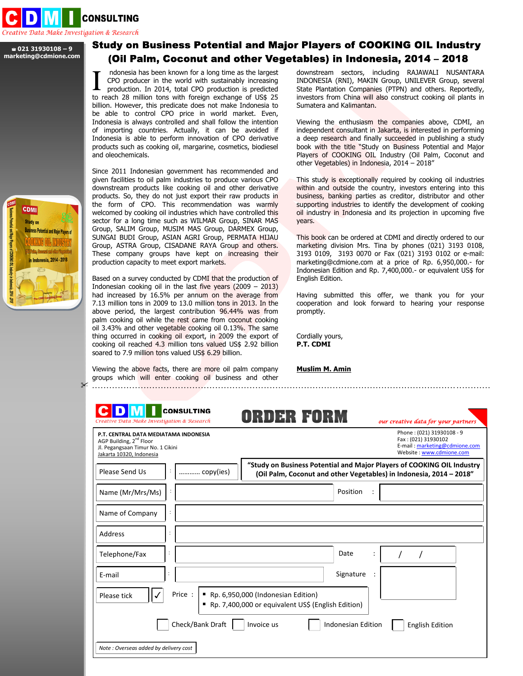

## **021 31930108 – 9 marketing@cdmione.com**

## Study on Business Potential and Major Players of COOKING OIL Industry (Oil Palm, Coconut and other Vegetables) in Indonesia, 2014 – 2018

 ndonesia has been known for a long time as the largest CPO producer in the world with sustainably increasing production. In 2014, total CPO production is predicted I ndonesia has been known for a long time as the largest<br>CPO producer in the world with sustainably increasing<br>production. In 2014, total CPO production is predicted<br>to reach 28 million tons with foreign exchange of US\$ 25 billion. However, this predicate does not make Indonesia to be able to control CPO price in world market. Even, Indonesia is always controlled and shall follow the intention of importing countries. Actually, it can be avoided if Indonesia is able to perform innovation of CPO derivative products such as cooking oil, margarine, cosmetics, biodiesel and oleochemicals.

Since 2011 Indonesian government has recommended and given facilities to oil palm industries to produce various CPO downstream products like cooking oil and other derivative products. So, they do not just export their raw products in the form of CPO. This recommendation was warmly welcomed by cooking oil industries which have controlled this sector for a long time such as WILMAR Group, SINAR MAS Group, SALIM Group, MUSIM MAS Group, DARMEX Group, SUNGAI BUDI Group, ASIAN AGRI Group, PERMATA HIJAU Group, ASTRA Group, CISADANE RAYA Group and others. These company groups have kept on increasing their production capacity to meet export markets.

Based on a survey conducted by CDMI that the production of Indonesian cooking oil in the last five years  $(2009 - 2013)$ had increased by 16.5% per annum on the average from 7.13 million tons in 2009 to 13.0 million tons in 2013. In the above period, the largest contribution 96.44% was from palm cooking oil while the rest came from coconut cooking oil 3.43% and other vegetable cooking oil 0.13%. The same thing occurred in cooking oil export, in 2009 the export of cooking oil reached 4.3 million tons valued US\$ 2.92 billion soared to 7.9 million tons valued US\$ 6.29 billion.

Viewing the above facts, there are more oil palm company groups which will enter cooking oil business and other ...........................................................................................................................................

downstream sectors, including RAJAWALI NUSANTARA INDONESIA (RNI), MAKIN Group, UNILEVER Group, several State Plantation Companies (PTPN) and others. Reportedly, investors from China will also construct cooking oil plants in Sumatera and Kalimantan.

Viewing the enthusiasm the companies above, CDMI, an independent consultant in Jakarta, is interested in performing a deep research and finally succeeded in publishing a study book with the title "Study on Business Potential and Major Players of COOKING OIL Industry (Oil Palm, Coconut and other Vegetables) in Indonesia, 2014 – 2018"

This study is exceptionally required by cooking oil industries within and outside the country, investors entering into this business, banking parties as creditor, distributor and other supporting industries to identify the development of cooking oil industry in Indonesia and its projection in upcoming five years.

This book can be ordered at CDMI and directly ordered to our marketing division Mrs. Tina by phones (021) 3193 0108, 3193 0109, 3193 0070 or Fax (021) 3193 0102 or e-mail: marketing@cdmione.com at a price of Rp. 6,950,000.- for Indonesian Edition and Rp. 7,400,000.- or equivalent US\$ for English Edition.

Having submitted this offer, we thank you for your cooperation and look forward to hearing your response promptly.

Cordially yours, **P.T. CDMI** 

**Muslim M. Amin**

| P.T. CENTRAL DATA MEDIATAMA INDONESIA<br>AGP Building, 2 <sup>nd</sup> Floor<br>Jl. Pegangsaan Timur No. 1 Cikini<br>Jakarta 10320, Indonesia |                  | Phone: (021) 31930108 - 9<br>Fax: (021) 31930102<br>E-mail: marketing@cdmione.com<br>Website: www.cdmione.com                                 |
|-----------------------------------------------------------------------------------------------------------------------------------------------|------------------|-----------------------------------------------------------------------------------------------------------------------------------------------|
| Please Send Us                                                                                                                                | copy(ies)        | "Study on Business Potential and Major Players of COOKING OIL Industry<br>(Oil Palm, Coconut and other Vegetables) in Indonesia, 2014 - 2018" |
| Name (Mr/Mrs/Ms)                                                                                                                              |                  | Position                                                                                                                                      |
| Name of Company                                                                                                                               |                  |                                                                                                                                               |
| Address                                                                                                                                       | ÷                |                                                                                                                                               |
| Telephone/Fax                                                                                                                                 | $\ddot{\cdot}$   | Date                                                                                                                                          |
| E-mail                                                                                                                                        |                  | Signature                                                                                                                                     |
| $\checkmark$<br>Please tick                                                                                                                   | Price: I         | Rp. 6,950,000 (Indonesian Edition)<br>Rp. 7,400,000 or equivalent US\$ (English Edition)                                                      |
|                                                                                                                                               | Check/Bank Draft | Invoice us<br>Indonesian Edition<br><b>English Edition</b>                                                                                    |

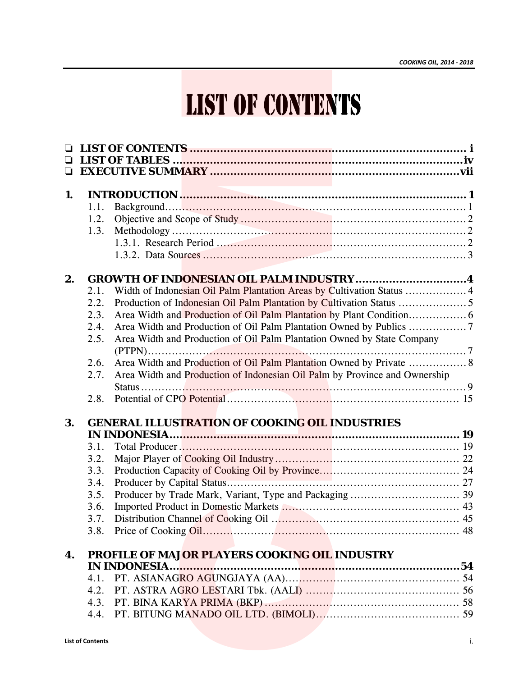|    |                         | <b>LIST OF CONTENTS</b>                                                    |    |
|----|-------------------------|----------------------------------------------------------------------------|----|
|    |                         |                                                                            |    |
|    |                         |                                                                            |    |
|    |                         |                                                                            |    |
|    |                         |                                                                            |    |
|    |                         |                                                                            |    |
| 1. |                         |                                                                            |    |
|    | 1.1.<br>1.2.            |                                                                            |    |
|    | 1.3.                    |                                                                            |    |
|    |                         |                                                                            |    |
|    |                         |                                                                            |    |
|    |                         |                                                                            |    |
| 2. |                         | <b>GROWTH OF INDONESIAN OIL PALM INDUSTRY4</b>                             |    |
|    | 2.1.                    |                                                                            |    |
|    | 2.2.                    |                                                                            |    |
|    | 2.3.                    |                                                                            |    |
|    | 2.4.                    |                                                                            |    |
|    | 2.5.                    | Area Width and Production of Oil Palm Plantation Owned by State Company    |    |
|    | 2.6.                    | Area Width and Production of Oil Palm Plantation Owned by Private  8       |    |
|    | 2.7.                    | Area Width and Production of Indonesian Oil Palm by Province and Ownership |    |
|    |                         |                                                                            |    |
|    | 2.8.                    |                                                                            |    |
|    |                         |                                                                            |    |
| 3. |                         | <b>GENERAL ILLUSTRATION OF COOKING OIL INDUSTRIES</b>                      |    |
|    |                         |                                                                            |    |
|    | 3.1.<br>3.2.            |                                                                            |    |
|    | 3.3.                    |                                                                            |    |
|    | 3.4.                    |                                                                            |    |
|    | 3.5.                    |                                                                            |    |
|    | 3.6.                    |                                                                            |    |
|    | 3.7.                    |                                                                            |    |
|    | 3.8.                    |                                                                            |    |
|    |                         |                                                                            |    |
| 4. |                         | PROFILE OF MAJOR PLAYERS COOKING OIL INDUSTRY                              |    |
|    | 4.1.                    |                                                                            |    |
|    | 4.2.                    |                                                                            |    |
|    |                         |                                                                            |    |
|    |                         |                                                                            |    |
|    |                         |                                                                            |    |
|    | <b>List of Contents</b> |                                                                            | i. |
|    |                         |                                                                            |    |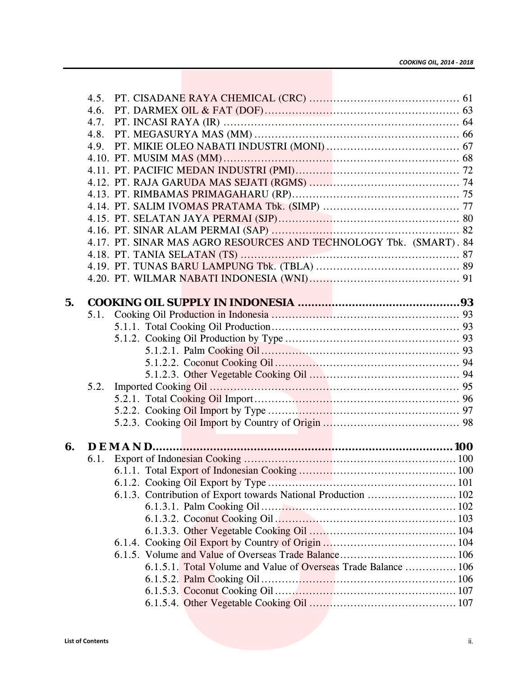|      | 4.5.                    |  |  |                                                                    |     |
|------|-------------------------|--|--|--------------------------------------------------------------------|-----|
|      | 4.6.                    |  |  |                                                                    |     |
| 4.7. |                         |  |  |                                                                    |     |
| 4.8. |                         |  |  |                                                                    |     |
|      |                         |  |  |                                                                    |     |
|      |                         |  |  |                                                                    |     |
|      |                         |  |  |                                                                    |     |
|      |                         |  |  |                                                                    |     |
|      |                         |  |  |                                                                    |     |
|      |                         |  |  |                                                                    |     |
|      |                         |  |  |                                                                    |     |
|      |                         |  |  |                                                                    |     |
|      |                         |  |  | 4.17. PT. SINAR MAS AGRO RESOURCES AND TECHNOLOGY Tbk. (SMART). 84 |     |
|      |                         |  |  |                                                                    |     |
|      |                         |  |  |                                                                    |     |
|      |                         |  |  |                                                                    |     |
|      |                         |  |  |                                                                    |     |
| 5.   |                         |  |  |                                                                    |     |
|      | 5.1.                    |  |  |                                                                    |     |
|      |                         |  |  |                                                                    |     |
|      |                         |  |  |                                                                    |     |
|      |                         |  |  |                                                                    |     |
|      |                         |  |  |                                                                    |     |
|      | 5.2.                    |  |  |                                                                    |     |
|      |                         |  |  |                                                                    |     |
|      |                         |  |  |                                                                    |     |
|      |                         |  |  |                                                                    |     |
|      |                         |  |  |                                                                    |     |
| 6.   |                         |  |  |                                                                    |     |
|      | 6.1.                    |  |  |                                                                    |     |
|      |                         |  |  |                                                                    |     |
|      |                         |  |  |                                                                    |     |
|      |                         |  |  | 6.1.3. Contribution of Export towards National Production  102     |     |
|      |                         |  |  |                                                                    |     |
|      |                         |  |  |                                                                    |     |
|      |                         |  |  |                                                                    |     |
|      |                         |  |  |                                                                    |     |
|      |                         |  |  |                                                                    |     |
|      |                         |  |  | 6.1.5.1. Total Volume and Value of Overseas Trade Balance  106     |     |
|      |                         |  |  |                                                                    |     |
|      |                         |  |  |                                                                    |     |
|      |                         |  |  |                                                                    |     |
|      |                         |  |  |                                                                    |     |
|      |                         |  |  |                                                                    |     |
|      | <b>List of Contents</b> |  |  |                                                                    | ii. |